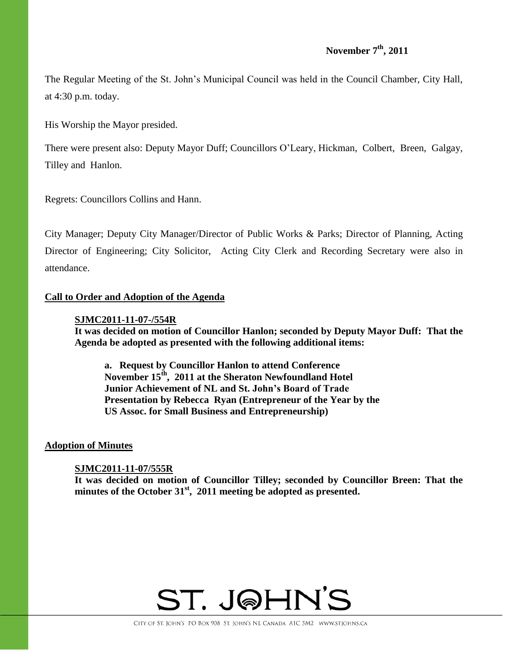The Regular Meeting of the St. John's Municipal Council was held in the Council Chamber, City Hall, at 4:30 p.m. today.

His Worship the Mayor presided.

There were present also: Deputy Mayor Duff; Councillors O'Leary, Hickman, Colbert, Breen, Galgay, Tilley and Hanlon.

Regrets: Councillors Collins and Hann.

City Manager; Deputy City Manager/Director of Public Works & Parks; Director of Planning, Acting Director of Engineering; City Solicitor, Acting City Clerk and Recording Secretary were also in attendance.

## **Call to Order and Adoption of the Agenda**

## **SJMC2011-11-07-/554R**

**It was decided on motion of Councillor Hanlon; seconded by Deputy Mayor Duff: That the Agenda be adopted as presented with the following additional items:**

**a. Request by Councillor Hanlon to attend Conference November 15th, 2011 at the Sheraton Newfoundland Hotel Junior Achievement of NL and St. John's Board of Trade Presentation by Rebecca Ryan (Entrepreneur of the Year by the US Assoc. for Small Business and Entrepreneurship)**

#### **Adoption of Minutes**

## **SJMC2011-11-07/555R**

**It was decided on motion of Councillor Tilley; seconded by Councillor Breen: That the minutes of the October 31st , 2011 meeting be adopted as presented.**

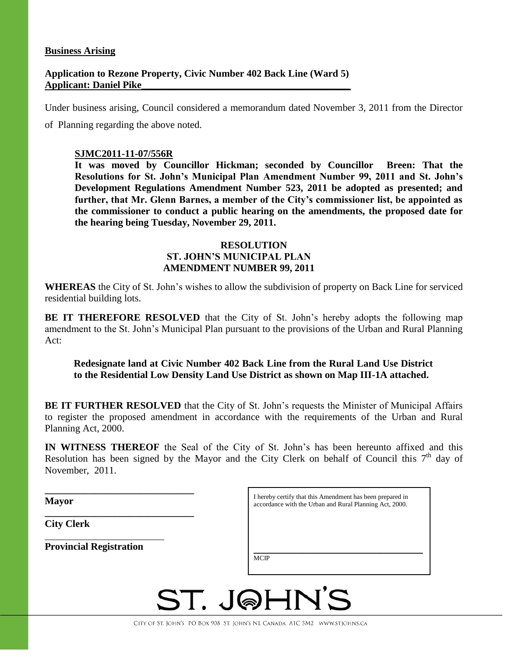#### **Business Arising**

## **Application to Rezone Property, Civic Number 402 Back Line (Ward 5) Applicant: Daniel Pike\_\_\_\_\_\_\_\_\_\_\_\_\_\_\_\_\_\_\_\_\_\_\_\_\_\_\_\_\_\_\_\_\_\_\_\_\_\_\_\_\_\_**

Under business arising, Council considered a memorandum dated November 3, 2011 from the Director

of Planning regarding the above noted.

## **SJMC2011-11-07/556R**

**It was moved by Councillor Hickman; seconded by Councillor Breen: That the Resolutions for St. John's Municipal Plan Amendment Number 99, 2011 and St. John's Development Regulations Amendment Number 523, 2011 be adopted as presented; and further, that Mr. Glenn Barnes, a member of the City's commissioner list, be appointed as the commissioner to conduct a public hearing on the amendments, the proposed date for the hearing being Tuesday, November 29, 2011.** 

## **RESOLUTION ST. JOHN'S MUNICIPAL PLAN AMENDMENT NUMBER 99, 2011**

**WHEREAS** the City of St. John's wishes to allow the subdivision of property on Back Line for serviced residential building lots.

**BE IT THEREFORE RESOLVED** that the City of St. John's hereby adopts the following map amendment to the St. John's Municipal Plan pursuant to the provisions of the Urban and Rural Planning Act:

## **Redesignate land at Civic Number 402 Back Line from the Rural Land Use District to the Residential Low Density Land Use District as shown on Map III-1A attached.**

**BE IT FURTHER RESOLVED** that the City of St. John's requests the Minister of Municipal Affairs to register the proposed amendment in accordance with the requirements of the Urban and Rural Planning Act, 2000.

**IN WITNESS THEREOF** the Seal of the City of St. John's has been hereunto affixed and this Resolution has been signed by the Mayor and the City Clerk on behalf of Council this  $7<sup>th</sup>$  day of November, 2011.

| <b>Mayor</b>                   | I hereby certify that this Amendment has been prepared in<br>accordance with the Urban and Rural Planning Act, 2000. |  |  |  |  |
|--------------------------------|----------------------------------------------------------------------------------------------------------------------|--|--|--|--|
| <b>City Clerk</b>              |                                                                                                                      |  |  |  |  |
| <b>Provincial Registration</b> | <b>MCIP</b>                                                                                                          |  |  |  |  |
|                                |                                                                                                                      |  |  |  |  |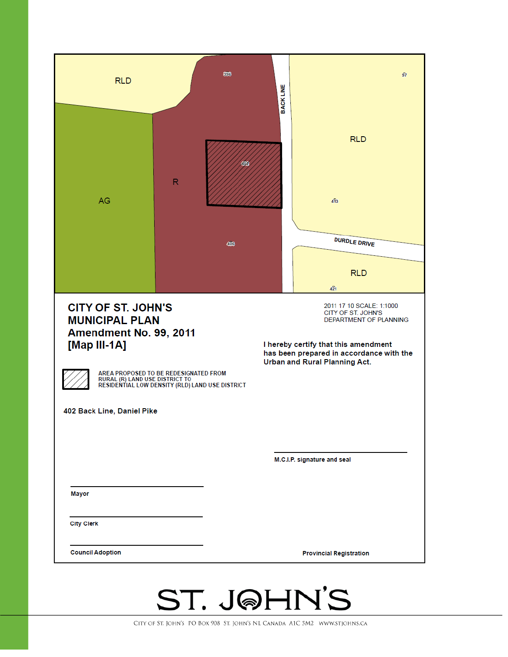| <b>RLD</b>                                                                                                                                                                                                                                                                                                                                                                                                                                                |              | 396 | <b>BACKLINE</b> | 97                             |
|-----------------------------------------------------------------------------------------------------------------------------------------------------------------------------------------------------------------------------------------------------------------------------------------------------------------------------------------------------------------------------------------------------------------------------------------------------------|--------------|-----|-----------------|--------------------------------|
| AG                                                                                                                                                                                                                                                                                                                                                                                                                                                        | $\mathsf{R}$ | 402 |                 | <b>RLD</b><br>413              |
|                                                                                                                                                                                                                                                                                                                                                                                                                                                           |              | 406 |                 | <b>DURDLE DRIVE</b>            |
|                                                                                                                                                                                                                                                                                                                                                                                                                                                           |              |     |                 | <b>RLD</b><br>421              |
| <b>CITY OF ST. JOHN'S</b><br>2011 17 10 SCALE: 1:1000<br>CITY OF ST. JOHN'S<br><b>MUNICIPAL PLAN</b><br>DEPARTMENT OF PLANNING<br>Amendment No. 99, 2011<br>[Map III-1A]<br>I hereby certify that this amendment<br>has been prepared in accordance with the<br>Urban and Rural Planning Act.<br>AREA PROPOSED TO BE REDESIGNATED FROM<br>RURAL (R) LAND USE DISTRICT TO<br>RESIDENTIAL LOW DENSITY (RLD) LAND USE DISTRICT<br>402 Back Line, Daniel Pike |              |     |                 |                                |
|                                                                                                                                                                                                                                                                                                                                                                                                                                                           |              |     |                 | M.C.I.P. signature and seal    |
| <b>Mayor</b>                                                                                                                                                                                                                                                                                                                                                                                                                                              |              |     |                 |                                |
| <b>City Clerk</b>                                                                                                                                                                                                                                                                                                                                                                                                                                         |              |     |                 |                                |
| <b>Council Adoption</b>                                                                                                                                                                                                                                                                                                                                                                                                                                   |              |     |                 | <b>Provincial Registration</b> |
|                                                                                                                                                                                                                                                                                                                                                                                                                                                           |              |     | $\mathbf{v}$    | $\mathbf{r}$                   |

ST. JOHN'S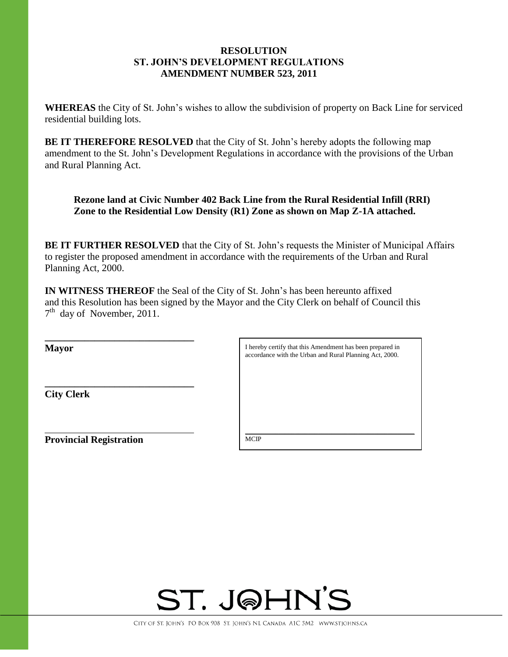## **RESOLUTION ST. JOHN'S DEVELOPMENT REGULATIONS AMENDMENT NUMBER 523, 2011**

**WHEREAS** the City of St. John's wishes to allow the subdivision of property on Back Line for serviced residential building lots.

**BE IT THEREFORE RESOLVED** that the City of St. John's hereby adopts the following map amendment to the St. John's Development Regulations in accordance with the provisions of the Urban and Rural Planning Act.

**Rezone land at Civic Number 402 Back Line from the Rural Residential Infill (RRI) Zone to the Residential Low Density (R1) Zone as shown on Map Z-1A attached.**

**BE IT FURTHER RESOLVED** that the City of St. John's requests the Minister of Municipal Affairs to register the proposed amendment in accordance with the requirements of the Urban and Rural Planning Act, 2000.

**IN WITNESS THEREOF** the Seal of the City of St. John's has been hereunto affixed and this Resolution has been signed by the Mayor and the City Clerk on behalf of Council this 7<sup>th</sup> day of November, 2011.

**Mayor**

**City Clerk**

**Provincial Registration**

**\_\_\_\_\_\_\_\_\_\_\_\_\_\_\_\_\_\_\_\_\_\_\_\_\_\_\_\_\_\_**

**\_\_\_\_\_\_\_\_\_\_\_\_\_\_\_\_\_\_\_\_\_\_\_\_\_\_\_\_\_\_** 

I hereby certify that this Amendment has been prepared in accordance with the Urban and Rural Planning Act, 2000.

\_\_\_\_\_\_\_\_\_\_\_\_\_\_\_\_\_\_\_\_\_\_\_\_\_\_\_\_\_\_\_\_\_\_\_\_\_\_\_\_\_\_\_\_\_\_\_\_\_\_\_

**MCIP** 

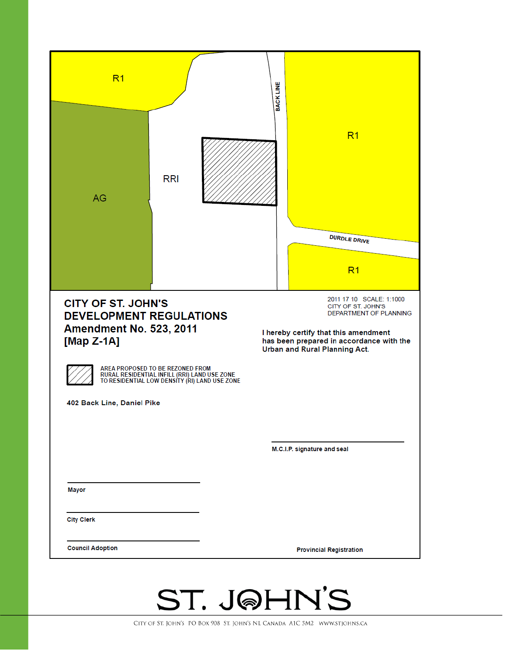| <b>DURDLE DRIVE</b><br>R <sub>1</sub><br>2011 17 10 SCALE: 1:1000<br><b>CITY OF ST. JOHN'S</b><br>CITY OF ST. JOHN'S<br>DEPARTMENT OF PLANNING<br><b>DEVELOPMENT REGULATIONS</b><br><b>Amendment No. 523, 2011</b><br>I hereby certify that this amendment<br>[Map $Z-1A$ ]<br>has been prepared in accordance with the<br>Urban and Rural Planning Act.<br>AREA PROPOSED TO BE REZONED FROM<br>RURAL RESIDENTIAL INFILL (RRI) LAND USE ZONE<br>TO RESIDENTIAL LOW DENSITY (RI) LAND USE ZONE<br>402 Back Line, Daniel Pike<br>M.C.I.P. signature and seal<br>Mayor<br><b>City Clerk</b><br><b>Council Adoption</b> | R <sub>1</sub><br>AG | <b>RRI</b> | <b>BACKLINE</b><br>R <sub>1</sub> |  |
|---------------------------------------------------------------------------------------------------------------------------------------------------------------------------------------------------------------------------------------------------------------------------------------------------------------------------------------------------------------------------------------------------------------------------------------------------------------------------------------------------------------------------------------------------------------------------------------------------------------------|----------------------|------------|-----------------------------------|--|
|                                                                                                                                                                                                                                                                                                                                                                                                                                                                                                                                                                                                                     |                      |            |                                   |  |
|                                                                                                                                                                                                                                                                                                                                                                                                                                                                                                                                                                                                                     |                      |            |                                   |  |
|                                                                                                                                                                                                                                                                                                                                                                                                                                                                                                                                                                                                                     |                      |            |                                   |  |
|                                                                                                                                                                                                                                                                                                                                                                                                                                                                                                                                                                                                                     |                      |            |                                   |  |
|                                                                                                                                                                                                                                                                                                                                                                                                                                                                                                                                                                                                                     |                      |            |                                   |  |
|                                                                                                                                                                                                                                                                                                                                                                                                                                                                                                                                                                                                                     |                      |            |                                   |  |
|                                                                                                                                                                                                                                                                                                                                                                                                                                                                                                                                                                                                                     |                      |            |                                   |  |
|                                                                                                                                                                                                                                                                                                                                                                                                                                                                                                                                                                                                                     |                      |            |                                   |  |
|                                                                                                                                                                                                                                                                                                                                                                                                                                                                                                                                                                                                                     |                      |            |                                   |  |
|                                                                                                                                                                                                                                                                                                                                                                                                                                                                                                                                                                                                                     |                      |            | <b>Provincial Registration</b>    |  |

# ST. J@HN'S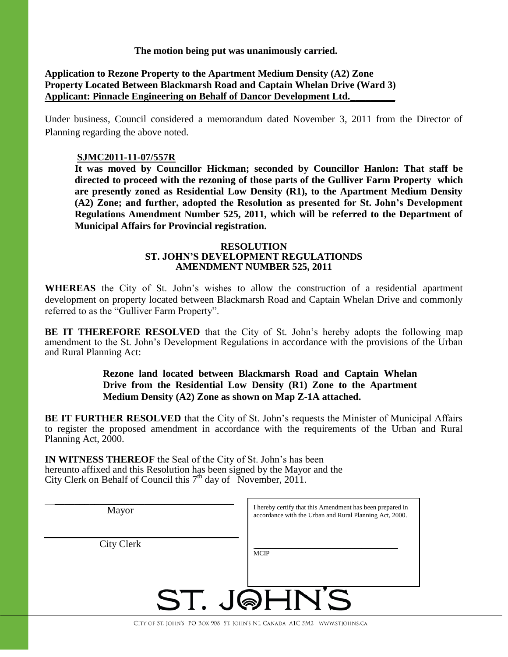**The motion being put was unanimously carried.** 

## **Application to Rezone Property to the Apartment Medium Density (A2) Zone Property Located Between Blackmarsh Road and Captain Whelan Drive (Ward 3) Applicant: Pinnacle Engineering on Behalf of Dancor Development Ltd.\_\_\_\_\_\_\_\_\_**

Under business, Council considered a memorandum dated November 3, 2011 from the Director of Planning regarding the above noted.

## **SJMC2011-11-07/557R**

**It was moved by Councillor Hickman; seconded by Councillor Hanlon: That staff be directed to proceed with the rezoning of those parts of the Gulliver Farm Property which are presently zoned as Residential Low Density (R1), to the Apartment Medium Density (A2) Zone; and further, adopted the Resolution as presented for St. John's Development Regulations Amendment Number 525, 2011, which will be referred to the Department of Municipal Affairs for Provincial registration.**

#### **RESOLUTION ST. JOHN'S DEVELOPMENT REGULATIONDS AMENDMENT NUMBER 525, 2011**

**WHEREAS** the City of St. John's wishes to allow the construction of a residential apartment development on property located between Blackmarsh Road and Captain Whelan Drive and commonly referred to as the "Gulliver Farm Property".

**BE IT THEREFORE RESOLVED** that the City of St. John's hereby adopts the following map amendment to the St. John's Development Regulations in accordance with the provisions of the Urban and Rural Planning Act:

## **Rezone land located between Blackmarsh Road and Captain Whelan Drive from the Residential Low Density (R1) Zone to the Apartment Medium Density (A2) Zone as shown on Map Z-1A attached.**

**BE IT FURTHER RESOLVED** that the City of St. John's requests the Minister of Municipal Affairs to register the proposed amendment in accordance with the requirements of the Urban and Rural Planning Act, 2000.

**IN WITNESS THEREOF** the Seal of the City of St. John's has been hereunto affixed and this Resolution has been signed by the Mayor and the City Clerk on Behalf of Council this 7<sup>th</sup> day of November, 2011.

| Mayor             | I hereby certify that this Amendment has been prepared in<br>accordance with the Urban and Rural Planning Act, 2000. |
|-------------------|----------------------------------------------------------------------------------------------------------------------|
| <b>City Clerk</b> | <b>MCIP</b>                                                                                                          |
|                   | ST. JQHN'S                                                                                                           |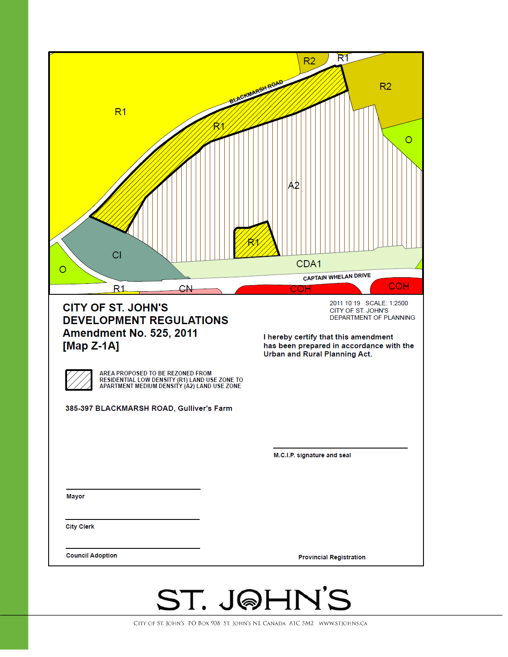

CITY OF ST. JOHN'S PO BOX 908 ST. JOHN'S NL CANADA A1C 5M2 WWW.STJOHNS.CA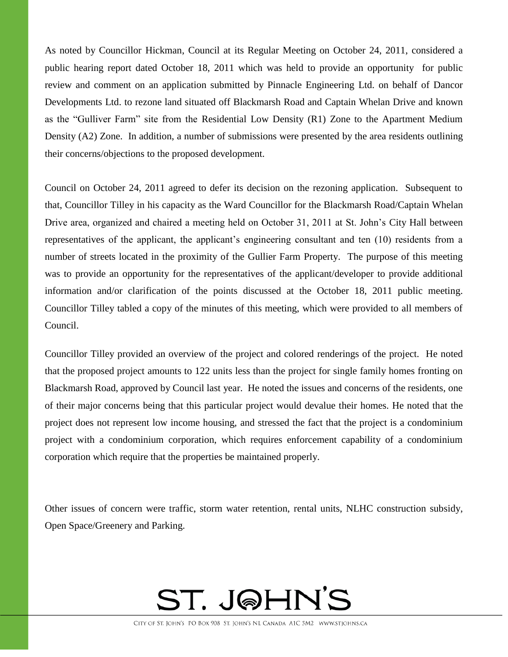As noted by Councillor Hickman, Council at its Regular Meeting on October 24, 2011, considered a public hearing report dated October 18, 2011 which was held to provide an opportunity for public review and comment on an application submitted by Pinnacle Engineering Ltd. on behalf of Dancor Developments Ltd. to rezone land situated off Blackmarsh Road and Captain Whelan Drive and known as the "Gulliver Farm" site from the Residential Low Density (R1) Zone to the Apartment Medium Density (A2) Zone. In addition, a number of submissions were presented by the area residents outlining their concerns/objections to the proposed development.

Council on October 24, 2011 agreed to defer its decision on the rezoning application. Subsequent to that, Councillor Tilley in his capacity as the Ward Councillor for the Blackmarsh Road/Captain Whelan Drive area, organized and chaired a meeting held on October 31, 2011 at St. John's City Hall between representatives of the applicant, the applicant's engineering consultant and ten (10) residents from a number of streets located in the proximity of the Gullier Farm Property. The purpose of this meeting was to provide an opportunity for the representatives of the applicant/developer to provide additional information and/or clarification of the points discussed at the October 18, 2011 public meeting. Councillor Tilley tabled a copy of the minutes of this meeting, which were provided to all members of Council.

Councillor Tilley provided an overview of the project and colored renderings of the project. He noted that the proposed project amounts to 122 units less than the project for single family homes fronting on Blackmarsh Road, approved by Council last year. He noted the issues and concerns of the residents, one of their major concerns being that this particular project would devalue their homes. He noted that the project does not represent low income housing, and stressed the fact that the project is a condominium project with a condominium corporation, which requires enforcement capability of a condominium corporation which require that the properties be maintained properly.

Other issues of concern were traffic, storm water retention, rental units, NLHC construction subsidy, Open Space/Greenery and Parking.

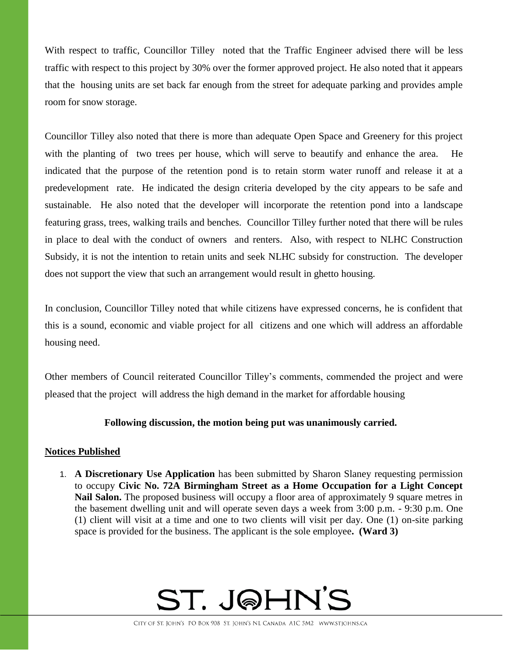With respect to traffic, Councillor Tilley noted that the Traffic Engineer advised there will be less traffic with respect to this project by 30% over the former approved project. He also noted that it appears that the housing units are set back far enough from the street for adequate parking and provides ample room for snow storage.

Councillor Tilley also noted that there is more than adequate Open Space and Greenery for this project with the planting of two trees per house, which will serve to beautify and enhance the area. He indicated that the purpose of the retention pond is to retain storm water runoff and release it at a predevelopment rate. He indicated the design criteria developed by the city appears to be safe and sustainable. He also noted that the developer will incorporate the retention pond into a landscape featuring grass, trees, walking trails and benches. Councillor Tilley further noted that there will be rules in place to deal with the conduct of owners and renters. Also, with respect to NLHC Construction Subsidy, it is not the intention to retain units and seek NLHC subsidy for construction. The developer does not support the view that such an arrangement would result in ghetto housing.

In conclusion, Councillor Tilley noted that while citizens have expressed concerns, he is confident that this is a sound, economic and viable project for all citizens and one which will address an affordable housing need.

Other members of Council reiterated Councillor Tilley's comments, commended the project and were pleased that the project will address the high demand in the market for affordable housing

## **Following discussion, the motion being put was unanimously carried.**

## **Notices Published**

1. **A Discretionary Use Application** has been submitted by Sharon Slaney requesting permission to occupy **Civic No. 72A Birmingham Street as a Home Occupation for a Light Concept**  Nail Salon. The proposed business will occupy a floor area of approximately 9 square metres in the basement dwelling unit and will operate seven days a week from 3:00 p.m. - 9:30 p.m. One (1) client will visit at a time and one to two clients will visit per day. One (1) on-site parking space is provided for the business. The applicant is the sole employee**. (Ward 3)**

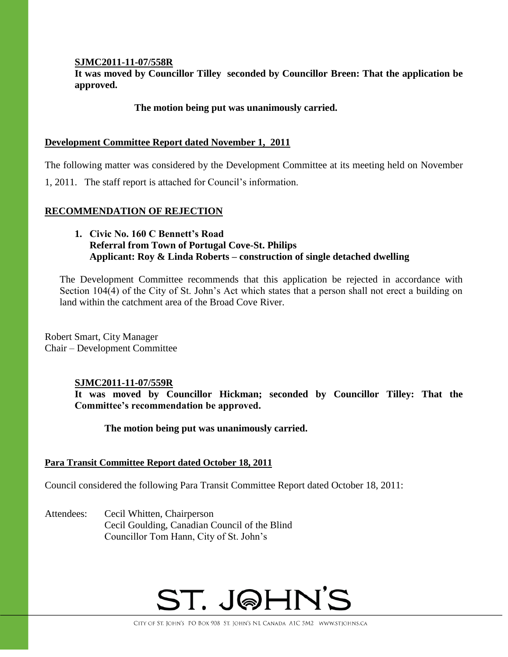## **SJMC2011-11-07/558R**

**It was moved by Councillor Tilley seconded by Councillor Breen: That the application be approved.**

## **The motion being put was unanimously carried.**

## **Development Committee Report dated November 1, 2011**

The following matter was considered by the Development Committee at its meeting held on November

1, 2011. The staff report is attached for Council's information.

## **RECOMMENDATION OF REJECTION**

## **1. Civic No. 160 C Bennett's Road Referral from Town of Portugal Cove-St. Philips Applicant: Roy & Linda Roberts – construction of single detached dwelling**

The Development Committee recommends that this application be rejected in accordance with Section 104(4) of the City of St. John's Act which states that a person shall not erect a building on land within the catchment area of the Broad Cove River.

Robert Smart, City Manager Chair – Development Committee

## **SJMC2011-11-07/559R**

**It was moved by Councillor Hickman; seconded by Councillor Tilley: That the Committee's recommendation be approved.**

## **The motion being put was unanimously carried.**

## **Para Transit Committee Report dated October 18, 2011**

Council considered the following Para Transit Committee Report dated October 18, 2011:

Attendees: Cecil Whitten, Chairperson Cecil Goulding, Canadian Council of the Blind Councillor Tom Hann, City of St. John's

# ST. J@HN'S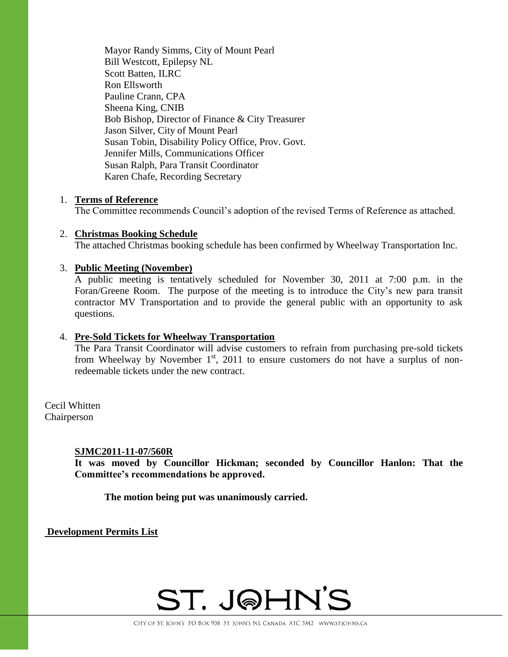Mayor Randy Simms, City of Mount Pearl Bill Westcott, Epilepsy NL Scott Batten, ILRC Ron Ellsworth Pauline Crann, CPA Sheena King, CNIB Bob Bishop, Director of Finance & City Treasurer Jason Silver, City of Mount Pearl Susan Tobin, Disability Policy Office, Prov. Govt. Jennifer Mills, Communications Officer Susan Ralph, Para Transit Coordinator Karen Chafe, Recording Secretary

#### 1. **Terms of Reference**

The Committee recommends Council's adoption of the revised Terms of Reference as attached.

## 2. **Christmas Booking Schedule** The attached Christmas booking schedule has been confirmed by Wheelway Transportation Inc.

#### 3. **Public Meeting (November)**

A public meeting is tentatively scheduled for November 30, 2011 at 7:00 p.m. in the Foran/Greene Room. The purpose of the meeting is to introduce the City's new para transit contractor MV Transportation and to provide the general public with an opportunity to ask questions.

## 4. **Pre-Sold Tickets for Wheelway Transportation**

The Para Transit Coordinator will advise customers to refrain from purchasing pre-sold tickets from Wheelway by November  $1<sup>st</sup>$ , 2011 to ensure customers do not have a surplus of nonredeemable tickets under the new contract.

Cecil Whitten Chairperson

#### **SJMC2011-11-07/560R**

**It was moved by Councillor Hickman; seconded by Councillor Hanlon: That the Committee's recommendations be approved.**

**The motion being put was unanimously carried.**

**Development Permits List**

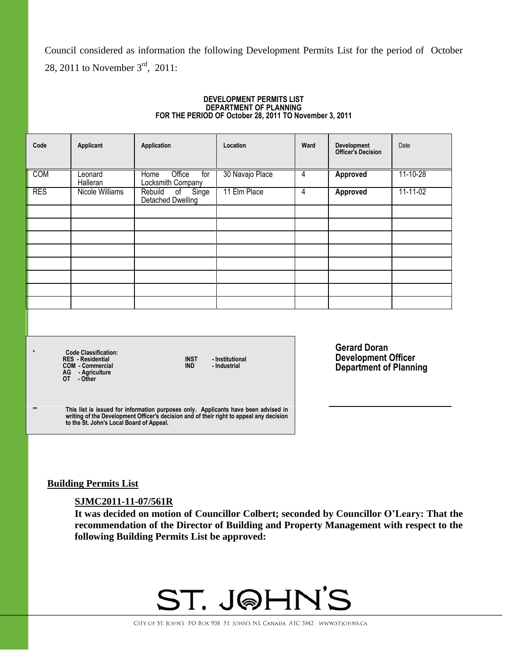Council considered as information the following Development Permits List for the period of October 28, 2011 to November 3<sup>rd</sup>, 2011:

#### **DEVELOPMENT PERMITS LIST DEPARTMENT OF PLANNING FOR THE PERIOD OF October 28, 2011 TO November 3, 2011**

| Code       | Applicant           | Application                                     | Location        | Ward | Development<br><b>Officer's Decision</b> | Date     |
|------------|---------------------|-------------------------------------------------|-----------------|------|------------------------------------------|----------|
| COM        | Leonard<br>Halleran | Office<br>Home<br>for<br>Locksmith Company      | 30 Navajo Place | 4    | <b>Approved</b>                          | 11-10-28 |
| <b>RES</b> | Nicole Williams     | of Singe<br>Rebuild<br><b>Detached Dwelling</b> | 11 Elm Place    | 4    | <b>Approved</b>                          | 11-11-02 |
|            |                     |                                                 |                 |      |                                          |          |
|            |                     |                                                 |                 |      |                                          |          |
|            |                     |                                                 |                 |      |                                          |          |
|            |                     |                                                 |                 |      |                                          |          |
|            |                     |                                                 |                 |      |                                          |          |
|            |                     |                                                 |                 |      |                                          |          |
|            |                     |                                                 |                 |      |                                          |          |
|            |                     |                                                 |                 |      |                                          |          |
|            |                     |                                                 |                 |      |                                          |          |

**\* Code Classification: RES - Residential INST - Institutional COM - Commercial IND - Industrial AG - Agriculture**

**OT - Other**

**Gerard Doran Development Officer Department of Planning**

**\*\* This list is issued for information purposes only. Applicants have been advised in writing of the Development Officer's decision and of their right to appeal any decision to the St. John's Local Board of Appeal.**

**Building Permits List**

#### **SJMC2011-11-07/561R**

**It was decided on motion of Councillor Colbert; seconded by Councillor O'Leary: That the recommendation of the Director of Building and Property Management with respect to the following Building Permits List be approved:**

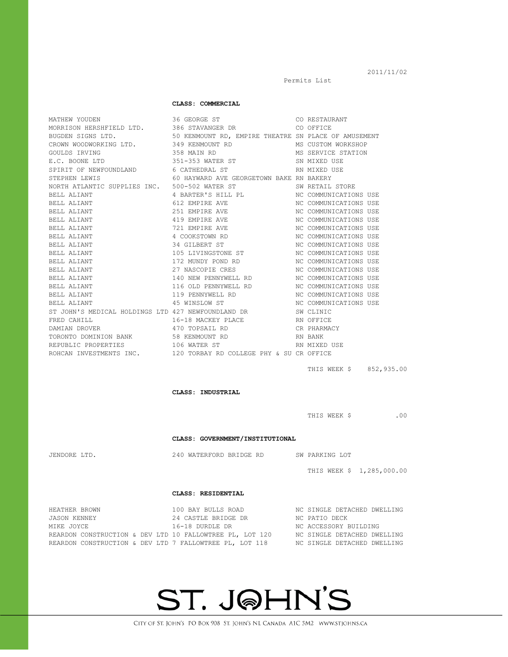CITY OF ST. JOHN'S PO BOX 908 ST. JOHN'S NL CANADA A1C 5M2 WWW.STJOHNS.CA

**ST. J@HN'S** 

|                                                                                                                                                                 | OOO DIINAHAQIIN DIN                                                                 |                                                                                                  |
|-----------------------------------------------------------------------------------------------------------------------------------------------------------------|-------------------------------------------------------------------------------------|--------------------------------------------------------------------------------------------------|
|                                                                                                                                                                 | 50 KENMOUNT RD, EMPIRE THEATRE SN PLACE OF AMUSEMENT                                |                                                                                                  |
|                                                                                                                                                                 | 349 KENMOUNT RD                                                                     | MS CUSTOM WORKSHOP                                                                               |
| --- JIGNS LTD.<br>CROWN WOODWORKING LTD.<br>GOULDS IRVING                                                                                                       | 358 MAIN RD                                                                         | MS SERVICE STATION                                                                               |
| E.C. BOONE LTD                                                                                                                                                  | 351-353 WATER ST                                                                    | SN MIXED USE                                                                                     |
| SPIRIT OF NEWFOUNDLAND 6 CATHEDRAL ST                                                                                                                           |                                                                                     | RN MIXED USE                                                                                     |
| STEPHEN LEWIS                                                                                                                                                   | 60 HAYWARD AVE GEORGETOWN BAKE RN BAKERY                                            |                                                                                                  |
|                                                                                                                                                                 |                                                                                     | SW RETAIL STORE                                                                                  |
|                                                                                                                                                                 |                                                                                     | NC COMMUNICATIONS USE                                                                            |
| BELL ALIANT                                                                                                                                                     | 612 EMPIRE AVE                                                                      | NC COMMUNICATIONS USE                                                                            |
| BELL ALIANT                                                                                                                                                     | 251 EMPIRE AVE                                                                      | NC COMMUNICATIONS USE                                                                            |
| BELL ALIANT                                                                                                                                                     | 419 EMPIRE AVE                                                                      |                                                                                                  |
| BELL ALIANT                                                                                                                                                     | 721 EMPIRE AVE                                                                      | NC COMMUNICATIONS USE<br>NC COMMUNICATIONS USE                                                   |
| BELL ALIANT                                                                                                                                                     | 4 COOKSTOWN RD                                                                      | NC COMMUNICATIONS USE<br>NC COMMUNICATIONS USE                                                   |
| BELL ALIANT                                                                                                                                                     | 34 GILBERT ST                                                                       |                                                                                                  |
| BELL ALIANT                                                                                                                                                     | 105 LIVINGSTONE ST                                                                  |                                                                                                  |
| BELL ALIANT                                                                                                                                                     | 172 MUNDY POND RD                                                                   | NC COMMUNICATIONS USE<br>NC COMMUNICATIONS USE<br>NC COMMUNICATIONS USE<br>NC COMMUNICATIONS USE |
| BELL ALIANT                                                                                                                                                     | 27 NASCOPIE CRES                                                                    |                                                                                                  |
| BELL ALIANT                                                                                                                                                     | 140 NEW PENNYWELL RD                                                                |                                                                                                  |
| BELL ALIANT                                                                                                                                                     | 116 OLD PENNYWELL RD                                                                |                                                                                                  |
| BELL ALIANT                                                                                                                                                     | 119 PENNYWELL RD                                                                    | NC COMMUNICATIONS USE<br>NC COMMUNICATIONS USE                                                   |
| BELL ALIANT                                                                                                                                                     | 45 WINSLOW ST                                                                       | NC COMMUNICATIONS USE<br>SW CLINIC                                                               |
| ST JOHN'S MEDICAL HOLDINGS LTD 427 NEWFOUNDLAND DR                                                                                                              |                                                                                     |                                                                                                  |
| FRED CAHILL                                                                                                                                                     | 16-18 MACKEY PLACE                                                                  |                                                                                                  |
| DAMIAN DROVER                                                                                                                                                   | 470 TOPSAIL RD                                                                      | RN OFFICE<br>CR PHARMACY                                                                         |
| TORONTO DOMINION BANK<br>TORONTO DOMINION BANK<br>100 MARTIN CREATED CREATED CREATED CREATED CREATED CREATED CREATED CREATED CREATED CREATED CREATED CREATED OF |                                                                                     | RN BANK                                                                                          |
| REPUBLIC PROPERTIES                                                                                                                                             | 106 WATER ST                                                                        | RN MIXED USE                                                                                     |
|                                                                                                                                                                 | ROHCAN INVESTMENTS INC. 120 TORBAY RD COLLEGE PHY & SU CR OFFICE                    |                                                                                                  |
|                                                                                                                                                                 |                                                                                     |                                                                                                  |
|                                                                                                                                                                 |                                                                                     | THIS WEEK \$852,935.00                                                                           |
|                                                                                                                                                                 |                                                                                     |                                                                                                  |
|                                                                                                                                                                 |                                                                                     |                                                                                                  |
|                                                                                                                                                                 | CLASS: INDUSTRIAL                                                                   |                                                                                                  |
|                                                                                                                                                                 |                                                                                     |                                                                                                  |
|                                                                                                                                                                 |                                                                                     |                                                                                                  |
|                                                                                                                                                                 |                                                                                     | THIS WEEK \$ .00                                                                                 |
|                                                                                                                                                                 |                                                                                     |                                                                                                  |
|                                                                                                                                                                 | CLASS: GOVERNMENT/INSTITUTIONAL                                                     |                                                                                                  |
| JENDORE LTD.                                                                                                                                                    | 240 WATERFORD BRIDGE RD SW PARKING LOT                                              |                                                                                                  |
|                                                                                                                                                                 |                                                                                     |                                                                                                  |
|                                                                                                                                                                 |                                                                                     | THIS WEEK \$ 1,285,000.00                                                                        |
|                                                                                                                                                                 | CLASS: RESIDENTIAL                                                                  |                                                                                                  |
|                                                                                                                                                                 |                                                                                     |                                                                                                  |
| HEATHER BROWN                                                                                                                                                   | 100 BAY BULLS ROAD                                                                  | NC SINGLE DETACHED DWELLING<br>NC PATIO DECK                                                     |
| JASON KENNEY                                                                                                                                                    | 24 CASTLE BRIDGE DR                                                                 |                                                                                                  |
| MIKE JOYCE                                                                                                                                                      | 16-18 DURDLE DR                                                                     | NC ACCESSORY BUILDING                                                                            |
| REARDON CONSTRUCTION & DEV LTD 10 FALLOWTREE PL, LOT 120                                                                                                        |                                                                                     | NC SINGLE DETACHED DWELLING                                                                      |
|                                                                                                                                                                 | REARDON CONSTRUCTION & DEV LTD 7 FALLOWTREE PL, LOT 118 MC SINGLE DETACHED DWELLING |                                                                                                  |

**CLASS: COMMERCIAL**

MATHEW YOUDEN 16 CEORGE ST CONSERVED AS CONSTAURANT MORRISON HERSHFIELD LTD. 386 STAVANGER DR CO OFFICE

Permits List

2011/11/02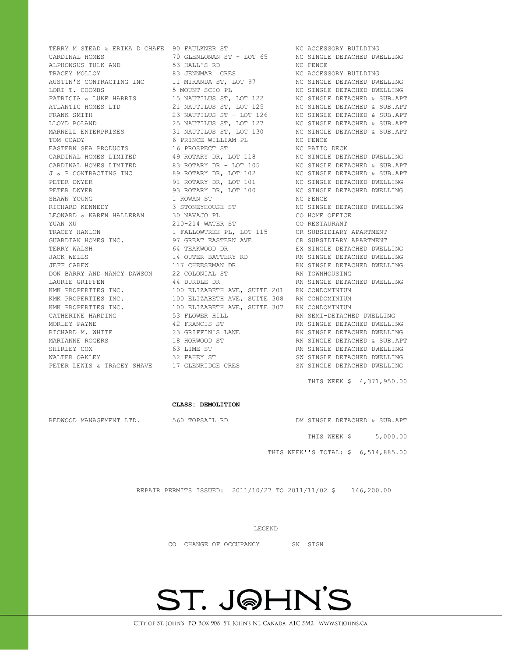TERRY M STEAD & ERIKA D CHAFE 90 FAULKNER ST NO ACCESSORY BUILDING CARDINAL HOMES 70 GLENLONAN ST - LOT 65 NC SINGLE DETACHED DWELLING ALPHONSUS TULK AND 53 HALL'S RD NC FENCE TRACEY MOLLOY **83 JENNMAR** CRES NC ACCESSORY BUILDING AUSTIN'S CONTRACTING INC 31 MIRANDA ST, LOT 97 NC SINGLE DETACHED DWELLING LORI T. COOMBS 5 MOUNT SCIO PL NC SINGLE DETACHED DWELLING PATRICIA & LUKE HARRIS 15 NAUTILUS ST, LOT 122 NC SINGLE DETACHED & SUB.APT ATLANTIC HOMES LTD 21 NAUTILUS ST, LOT 125 NC SINGLE DETACHED & SUB.APT FRANK SMITH 23 NAUTILUS ST - LOT 126 NC SINGLE DETACHED & SUB.APT LLOYD BOLAND 25 NAUTILUS ST, LOT 127 NC SINGLE DETACHED & SUB.APT MARNELL ENTERPRISES 31 NAUTILUS ST, LOT 130 NC SINGLE DETACHED & SUB.APT TOM COADY 6 PRINCE WILLIAM PL NC FENCE EASTERN SEA PRODUCTS 16 PROSPECT ST NC PATIO DECK CARDINAL HOMES LIMITED 49 ROTARY DR, LOT 118 NC SINGLE DETACHED DWELLING CARDINAL HOMES LIMITED 83 ROTARY DR - LOT 105 NC SINGLE DETACHED & SUB.APT J & P CONTRACTING INC 89 ROTARY DR, LOT 102 NC SINGLE DETACHED & SUB.APT PETER DWYER 6 191 ROTARY DR, LOT 101 NO SINGLE DETACHED DWELLING PETER DWYER **12 CONTROLLER SERVICE OF A STATE ASSESSMENT DR, LOT 100** NC SINGLE DETACHED DWELLING SHAWN YOUNG **1 ROWAN ST NOW NOW SHAWN** NO FENCE RICHARD KENNEDY 3 STONEYHOUSE ST NC SINGLE DETACHED DWELLING LEONARD & KAREN HALLERAN 30 NAVAJO PL CO HOME OFFICE YUAN XU 210-214 WATER ST CO RESTAURANT TRACEY HANLON 1 FALLOWTREE PL, LOT 115 CR SUBSIDIARY APARTMENT GUARDIAN HOMES INC. 97 GREAT EASTERN AVE CR SUBSIDIARY APARTMENT TERRY WALSH 64 TEAKWOOD DR EX SINGLE DETACHED DWELLING JACK WELLS 14 OUTER BATTERY RD RN SINGLE DETACHED DWELLING JEFF CAREW 117 CHEESEMAN DR RN SINGLE DETACHED DWELLING DON BARRY AND NANCY DAWSON 22 COLONIAL ST RN TOWNHOUSING LAURIE GRIFFEN 44 DURDLE DR RN SINGLE DETACHED DWELLING KMK PROPERTIES INC. 100 ELIZABETH AVE, SUITE 201 RN CONDOMINIUM KMK PROPERTIES INC. 100 ELIZABETH AVE, SUITE 308 RN CONDOMINIUM KMK PROPERTIES INC. 100 ELIZABETH AVE, SUITE 307 RN CONDOMINIUM CATHERINE HARDING **53 FLOWER HILL SEEP SEMI-DETACHED DWELLING** MORLEY PAYNE 42 FRANCIS ST RN SINGLE DETACHED DWELLING RICHARD M. WHITE  $23$  GRIFFIN'S LANE RN SINGLE DETACHED DWELLING MARIANNE ROGERS 18 HORWOOD ST RN SINGLE DETACHED & SUB.APT SHIRLEY COX 63 LIME ST RN SINGLE DETACHED DWELLING WALTER OAKLEY 32 FAHEY ST SW SINGLE DETACHED DWELLING PETER LEWIS & TRACEY SHAVE 17 GLENRIDGE CRES SW SINGLE DETACHED DWELLING

THIS WEEK \$ 4,371,950.00

#### **CLASS: DEMOLITION**

REDWOOD MANAGEMENT LTD. 560 TOPSAIL RD DM SINGLE DETACHED & SUB.APT

THIS WEEK \$ 5,000.00

THIS WEEK''S TOTAL: \$ 6,514,885.00

REPAIR PERMITS ISSUED: 2011/10/27 TO 2011/11/02 \$ 146,200.00

LEGEND

CO CHANGE OF OCCUPANCY SN SIGN

## ST. J@HN'S

CITY OF ST. JOHN'S PO BOX 908 ST. JOHN'S NL CANADA A1C 5M2 WWW.STIOHNS.CA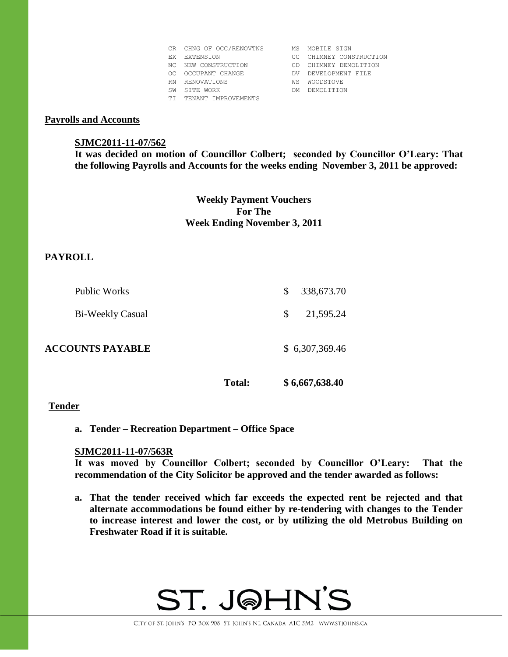|     | CR CHNG OF OCC/RENOVTNS | МS  | MOBILE SIGN             |
|-----|-------------------------|-----|-------------------------|
| FX. | EXTENSION               |     | CC CHIMNEY CONSTRUCTION |
| NC. | NEW CONSTRUCTION        | CD. | CHIMNEY DEMOLITION      |
| OC. | OCCUPANT CHANGE         | DV. | DEVELOPMENT FILE        |
| RN. | RENOVATIONS             | WS  | WOODSTOVE               |
| SW  | SITE WORK               | DМ  | DEMOLITION              |
| TT. | TENANT IMPROVEMENTS     |     |                         |

#### **Payrolls and Accounts**

#### **SJMC2011-11-07/562**

**It was decided on motion of Councillor Colbert; seconded by Councillor O'Leary: That the following Payrolls and Accounts for the weeks ending November 3, 2011 be approved:** 

## **Weekly Payment Vouchers For The Week Ending November 3, 2011**

## **PAYROLL**

| Public Works            | S.           | 338,673.70     |
|-------------------------|--------------|----------------|
| Bi-Weekly Casual        | <sup>S</sup> | 21,595.24      |
| <b>ACCOUNTS PAYABLE</b> |              | \$6,307,369.46 |

**Total: \$ 6,667,638.40**

#### **Tender**

**a. Tender – Recreation Department – Office Space**

#### **SJMC2011-11-07/563R**

**It was moved by Councillor Colbert; seconded by Councillor O'Leary: That the recommendation of the City Solicitor be approved and the tender awarded as follows:**

**a. That the tender received which far exceeds the expected rent be rejected and that alternate accommodations be found either by re-tendering with changes to the Tender to increase interest and lower the cost, or by utilizing the old Metrobus Building on Freshwater Road if it is suitable.**

## ST. J@HN'S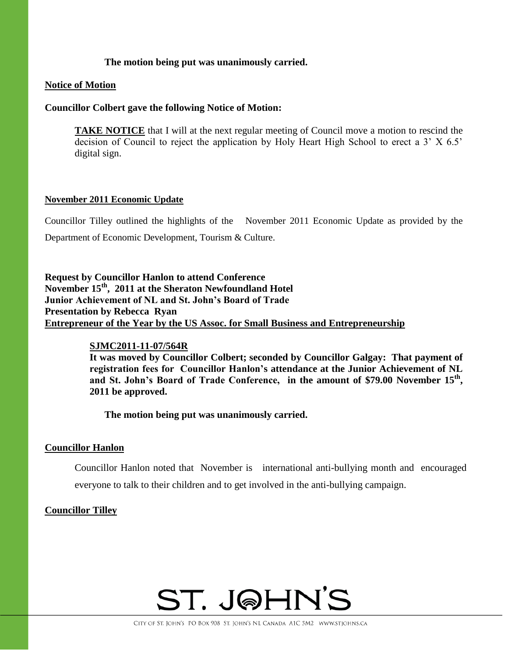## **The motion being put was unanimously carried.**

#### **Notice of Motion**

#### **Councillor Colbert gave the following Notice of Motion:**

**TAKE NOTICE** that I will at the next regular meeting of Council move a motion to rescind the decision of Council to reject the application by Holy Heart High School to erect a 3' X 6.5' digital sign.

#### **November 2011 Economic Update**

Councillor Tilley outlined the highlights of the November 2011 Economic Update as provided by the Department of Economic Development, Tourism & Culture.

**Request by Councillor Hanlon to attend Conference November 15th, 2011 at the Sheraton Newfoundland Hotel Junior Achievement of NL and St. John's Board of Trade Presentation by Rebecca Ryan Entrepreneur of the Year by the US Assoc. for Small Business and Entrepreneurship**

## **SJMC2011-11-07/564R**

**It was moved by Councillor Colbert; seconded by Councillor Galgay: That payment of registration fees for Councillor Hanlon's attendance at the Junior Achievement of NL**  and St. John's Board of Trade Conference, in the amount of \$79.00 November 15<sup>th</sup>, **2011 be approved.** 

**The motion being put was unanimously carried.** 

## **Councillor Hanlon**

Councillor Hanlon noted that November is international anti-bullying month and encouraged everyone to talk to their children and to get involved in the anti-bullying campaign.

## **Councillor Tilley**

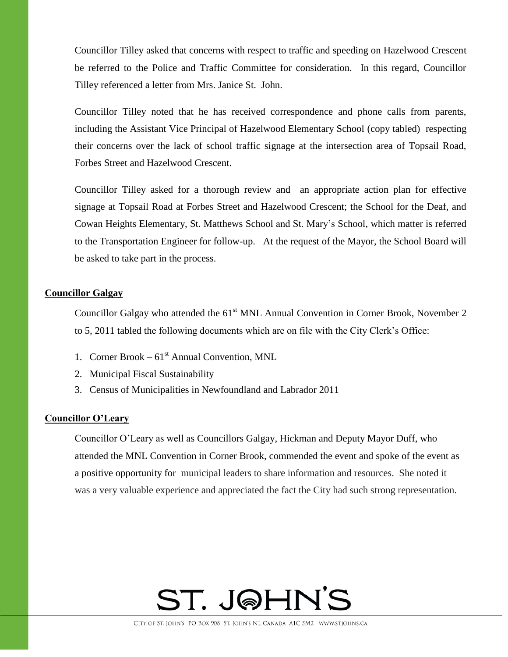Councillor Tilley asked that concerns with respect to traffic and speeding on Hazelwood Crescent be referred to the Police and Traffic Committee for consideration. In this regard, Councillor Tilley referenced a letter from Mrs. Janice St. John.

Councillor Tilley noted that he has received correspondence and phone calls from parents, including the Assistant Vice Principal of Hazelwood Elementary School (copy tabled) respecting their concerns over the lack of school traffic signage at the intersection area of Topsail Road, Forbes Street and Hazelwood Crescent.

Councillor Tilley asked for a thorough review and an appropriate action plan for effective signage at Topsail Road at Forbes Street and Hazelwood Crescent; the School for the Deaf, and Cowan Heights Elementary, St. Matthews School and St. Mary's School, which matter is referred to the Transportation Engineer for follow-up. At the request of the Mayor, the School Board will be asked to take part in the process.

#### **Councillor Galgay**

Councillor Galgay who attended the  $61<sup>st</sup>$  MNL Annual Convention in Corner Brook, November 2 to 5, 2011 tabled the following documents which are on file with the City Clerk's Office:

- 1. Corner Brook  $61<sup>st</sup>$  Annual Convention, MNL
- 2. Municipal Fiscal Sustainability
- 3. Census of Municipalities in Newfoundland and Labrador 2011

#### **Councillor O'Leary**

Councillor O'Leary as well as Councillors Galgay, Hickman and Deputy Mayor Duff, who attended the MNL Convention in Corner Brook, commended the event and spoke of the event as a positive opportunity for municipal leaders to share information and resources. She noted it was a very valuable experience and appreciated the fact the City had such strong representation.